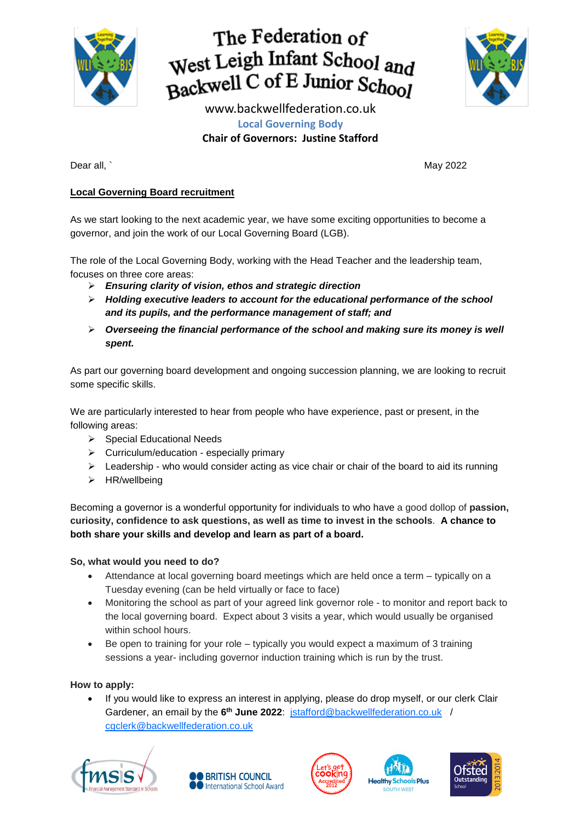

# The Federation of West Leigh Infant School and<br>Backwell C of E Junior School



www.backwellfederation.co.uk **Local Governing Body Chair of Governors: Justine Stafford**

Dear all, ` May 2022

## **Local Governing Board recruitment**

As we start looking to the next academic year, we have some exciting opportunities to become a governor, and join the work of our Local Governing Board (LGB).

The role of the Local Governing Body, working with the Head Teacher and the leadership team, focuses on three core areas:

- *Ensuring clarity of vision, ethos and strategic direction*
- *Holding executive leaders to account for the educational performance of the school and its pupils, and the performance management of staff; and*
- *Overseeing the financial performance of the school and making sure its money is well spent.*

As part our governing board development and ongoing succession planning, we are looking to recruit some specific skills.

We are particularly interested to hear from people who have experience, past or present, in the following areas:

- $\triangleright$  Special Educational Needs
- $\triangleright$  Curriculum/education especially primary
- $\triangleright$  Leadership who would consider acting as vice chair or chair of the board to aid its running
- $\triangleright$  HR/wellbeing

Becoming a governor is a wonderful opportunity for individuals to who have a good dollop of **passion, curiosity, confidence to ask questions, as well as time to invest in the schools**. **A chance to both share your skills and develop and learn as part of a board.**

#### **So, what would you need to do?**

- Attendance at local governing board meetings which are held once a term typically on a Tuesday evening (can be held virtually or face to face)
- Monitoring the school as part of your agreed link governor role to monitor and report back to the local governing board. Expect about 3 visits a year, which would usually be organised within school hours.
- Be open to training for your role typically you would expect a maximum of 3 training sessions a year- including governor induction training which is run by the trust.

#### **How to apply:**

 If you would like to express an interest in applying, please do drop myself, or our clerk Clair Gardener, an email by the 6<sup>th</sup> June 2022: *[jstafford@backwellfederation.co.uk](mailto:jstafford@backwellfederation.co.uk) /* [cgclerk@backwellfederation.co.uk](mailto:cgclerk@backwellfederation.co.uk)